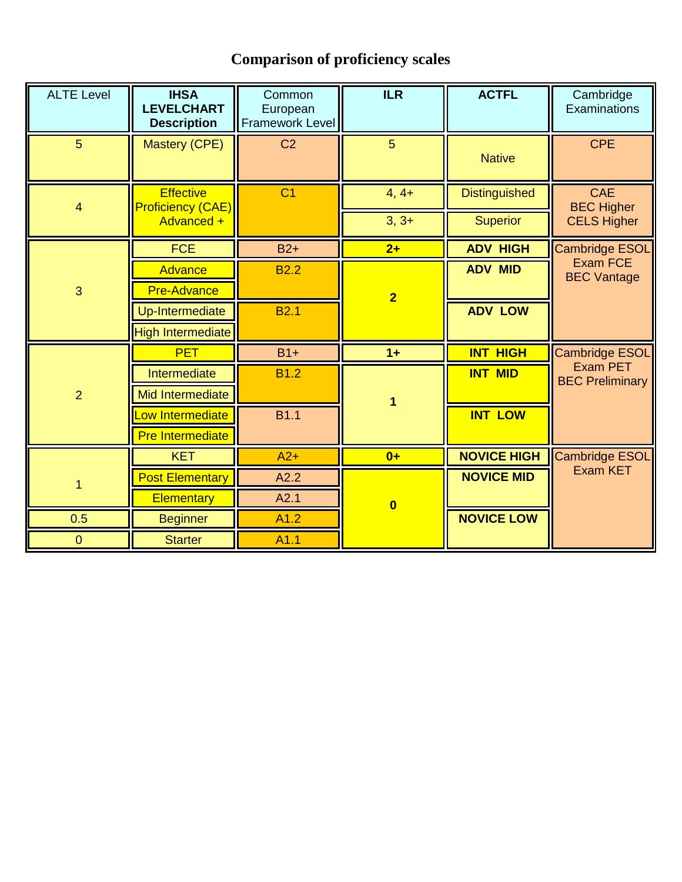## **Comparison of proficiency scales**

| <b>ALTE Level</b>       | <b>IHSA</b><br><b>LEVELCHART</b><br><b>Description</b> | Common<br>European<br><b>Framework Level</b> | ILR                     | <b>ACTFL</b>         | Cambridge<br>Examinations                 |
|-------------------------|--------------------------------------------------------|----------------------------------------------|-------------------------|----------------------|-------------------------------------------|
| 5 <sup>5</sup>          | Mastery (CPE)                                          | C <sub>2</sub>                               | 5 <sup>5</sup>          | <b>Native</b>        | <b>CPE</b>                                |
| $\overline{\mathbf{4}}$ | <b>Effective</b><br>Proficiency (CAE)                  | C <sub>1</sub>                               | $4, 4+$                 | <b>Distinguished</b> | <b>CAE</b><br><b>BEC Higher</b>           |
|                         | Advanced +                                             |                                              | $3, 3+$                 | <b>Superior</b>      | <b>CELS Higher</b>                        |
| $\overline{3}$          | <b>FCE</b>                                             | $B2+$                                        | $2+$                    | <b>ADV HIGH</b>      | <b>Cambridge ESOL</b>                     |
|                         | <b>Advance</b>                                         | <b>B2.2</b>                                  |                         | <b>ADV MID</b>       | Exam FCE<br><b>BEC Vantage</b>            |
|                         | <b>Pre-Advance</b>                                     |                                              | $\overline{2}$          |                      |                                           |
|                         | Up-Intermediate                                        | <b>B2.1</b>                                  |                         | <b>ADV LOW</b>       |                                           |
|                         | <b>High Intermediate</b>                               |                                              |                         |                      |                                           |
| $\overline{2}$          | <b>PET</b>                                             | $B1+$                                        | $1+$                    | <b>INT HIGH</b>      | Cambridge ESOL                            |
|                         | Intermediate                                           | <b>B1.2</b>                                  |                         | <b>INT MID</b>       | <b>Exam PET</b><br><b>BEC Preliminary</b> |
|                         | Mid Intermediate                                       |                                              | 1                       |                      |                                           |
|                         | ow Intermediate                                        | <b>B1.1</b>                                  |                         | <b>INT LOW</b>       |                                           |
|                         | <b>Pre Intermediate</b>                                |                                              |                         |                      |                                           |
|                         | <b>KET</b>                                             | $A2+$                                        | $0+$                    | <b>NOVICE HIGH</b>   | <b>Cambridge ESOL</b>                     |
|                         | <b>Post Elementary</b>                                 | A2.2                                         |                         | <b>NOVICE MID</b>    | <b>Exam KET</b>                           |
|                         | Elementary                                             | A2.1                                         | $\overline{\mathbf{0}}$ |                      |                                           |
| 0.5                     | <b>Beginner</b>                                        | A1.2                                         |                         | <b>NOVICE LOW</b>    |                                           |
| $\pmb{0}$               | <b>Starter</b>                                         | A1.1                                         |                         |                      |                                           |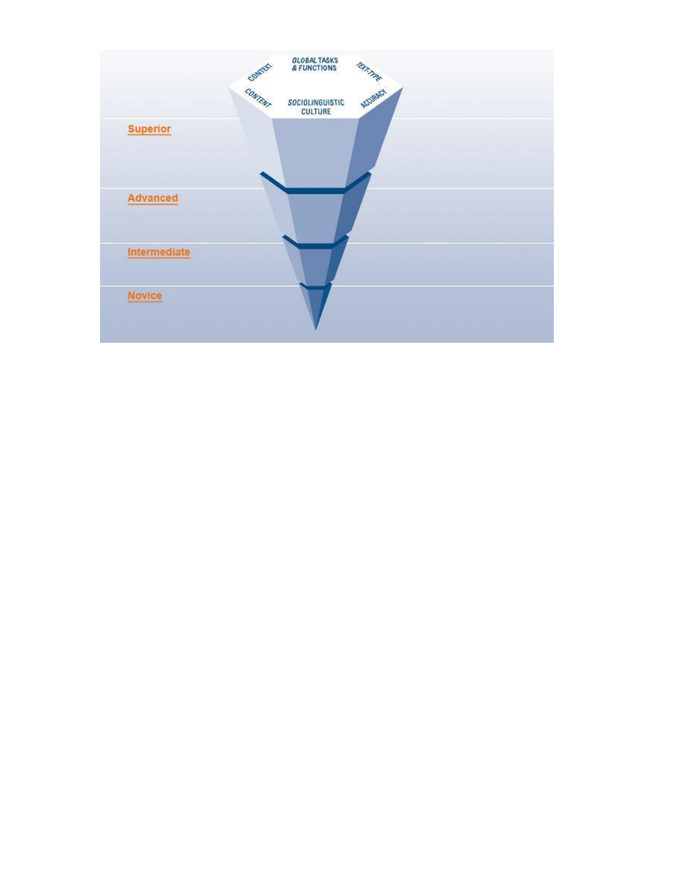